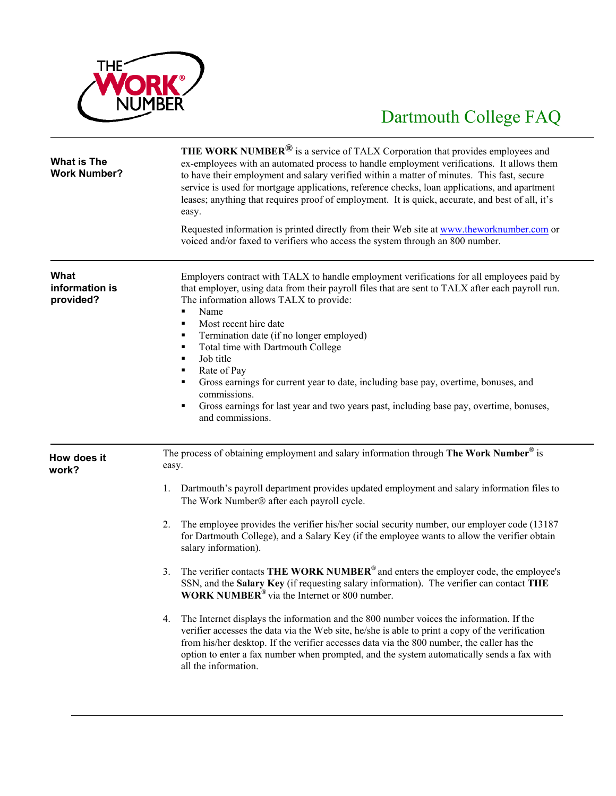

## Dartmouth College FAQ

| <b>What is The</b><br><b>Work Number?</b> | <b>THE WORK NUMBER<sup>®</sup></b> is a service of TALX Corporation that provides employees and<br>ex-employees with an automated process to handle employment verifications. It allows them<br>to have their employment and salary verified within a matter of minutes. This fast, secure<br>service is used for mortgage applications, reference checks, loan applications, and apartment<br>leases; anything that requires proof of employment. It is quick, accurate, and best of all, it's<br>easy.<br>Requested information is printed directly from their Web site at www.theworknumber.com or<br>voiced and/or faxed to verifiers who access the system through an 800 number. |
|-------------------------------------------|----------------------------------------------------------------------------------------------------------------------------------------------------------------------------------------------------------------------------------------------------------------------------------------------------------------------------------------------------------------------------------------------------------------------------------------------------------------------------------------------------------------------------------------------------------------------------------------------------------------------------------------------------------------------------------------|
| What<br>information is<br>provided?       | Employers contract with TALX to handle employment verifications for all employees paid by<br>that employer, using data from their payroll files that are sent to TALX after each payroll run.<br>The information allows TALX to provide:<br>Name<br>٠<br>Most recent hire date<br>Ξ<br>Termination date (if no longer employed)<br>٠<br>Total time with Dartmouth College<br>٠<br>Job title<br>٠<br>Rate of Pay<br>٠<br>Gross earnings for current year to date, including base pay, overtime, bonuses, and<br>٠<br>commissions.<br>Gross earnings for last year and two years past, including base pay, overtime, bonuses,<br>٠<br>and commissions.                                   |
| How does it<br>work?                      | The process of obtaining employment and salary information through The Work Number® is<br>easy.                                                                                                                                                                                                                                                                                                                                                                                                                                                                                                                                                                                        |
|                                           | Dartmouth's payroll department provides updated employment and salary information files to<br>1.<br>The Work Number® after each payroll cycle.                                                                                                                                                                                                                                                                                                                                                                                                                                                                                                                                         |
|                                           | The employee provides the verifier his/her social security number, our employer code (13187)<br>2.<br>for Dartmouth College), and a Salary Key (if the employee wants to allow the verifier obtain<br>salary information).                                                                                                                                                                                                                                                                                                                                                                                                                                                             |
|                                           | The verifier contacts THE WORK NUMBER® and enters the employer code, the employee's<br>3.<br>SSN, and the Salary Key (if requesting salary information). The verifier can contact THE<br><b>WORK NUMBER</b> <sup>®</sup> via the Internet or 800 number.                                                                                                                                                                                                                                                                                                                                                                                                                               |
|                                           | The Internet displays the information and the 800 number voices the information. If the<br>4.<br>verifier accesses the data via the Web site, he/she is able to print a copy of the verification<br>from his/her desktop. If the verifier accesses data via the 800 number, the caller has the<br>option to enter a fax number when prompted, and the system automatically sends a fax with<br>all the information.                                                                                                                                                                                                                                                                    |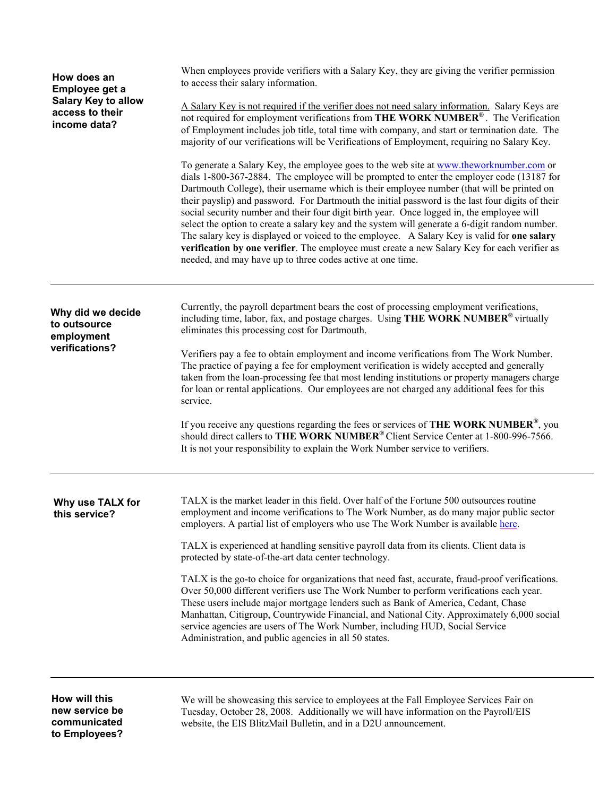| How does an<br>Employee get a<br><b>Salary Key to allow</b>       | When employees provide verifiers with a Salary Key, they are giving the verifier permission<br>to access their salary information.                                                                                                                                                                                                                                                                                                                                                                                                                                                                                                                                                                                                                                                                                                                 |
|-------------------------------------------------------------------|----------------------------------------------------------------------------------------------------------------------------------------------------------------------------------------------------------------------------------------------------------------------------------------------------------------------------------------------------------------------------------------------------------------------------------------------------------------------------------------------------------------------------------------------------------------------------------------------------------------------------------------------------------------------------------------------------------------------------------------------------------------------------------------------------------------------------------------------------|
| access to their<br>income data?                                   | A Salary Key is not required if the verifier does not need salary information. Salary Keys are<br>not required for employment verifications from THE WORK NUMBER®. The Verification<br>of Employment includes job title, total time with company, and start or termination date. The<br>majority of our verifications will be Verifications of Employment, requiring no Salary Key.                                                                                                                                                                                                                                                                                                                                                                                                                                                                |
|                                                                   | To generate a Salary Key, the employee goes to the web site at www.theworknumber.com or<br>dials 1-800-367-2884. The employee will be prompted to enter the employer code (13187 for<br>Dartmouth College), their username which is their employee number (that will be printed on<br>their payslip) and password. For Dartmouth the initial password is the last four digits of their<br>social security number and their four digit birth year. Once logged in, the employee will<br>select the option to create a salary key and the system will generate a 6-digit random number.<br>The salary key is displayed or voiced to the employee. A Salary Key is valid for one salary<br>verification by one verifier. The employee must create a new Salary Key for each verifier as<br>needed, and may have up to three codes active at one time. |
| Why did we decide<br>to outsource<br>employment<br>verifications? | Currently, the payroll department bears the cost of processing employment verifications,<br>including time, labor, fax, and postage charges. Using THE WORK NUMBER <sup>®</sup> virtually<br>eliminates this processing cost for Dartmouth.                                                                                                                                                                                                                                                                                                                                                                                                                                                                                                                                                                                                        |
|                                                                   | Verifiers pay a fee to obtain employment and income verifications from The Work Number.<br>The practice of paying a fee for employment verification is widely accepted and generally<br>taken from the loan-processing fee that most lending institutions or property managers charge<br>for loan or rental applications. Our employees are not charged any additional fees for this<br>service.                                                                                                                                                                                                                                                                                                                                                                                                                                                   |
|                                                                   | If you receive any questions regarding the fees or services of THE WORK NUMBER®, you<br>should direct callers to THE WORK NUMBER® Client Service Center at 1-800-996-7566.<br>It is not your responsibility to explain the Work Number service to verifiers.                                                                                                                                                                                                                                                                                                                                                                                                                                                                                                                                                                                       |
| Why use TALX for<br>this service?                                 | TALX is the market leader in this field. Over half of the Fortune 500 outsources routine<br>employment and income verifications to The Work Number, as do many major public sector<br>employers. A partial list of employers who use The Work Number is available here.                                                                                                                                                                                                                                                                                                                                                                                                                                                                                                                                                                            |
|                                                                   | TALX is experienced at handling sensitive payroll data from its clients. Client data is<br>protected by state-of-the-art data center technology.                                                                                                                                                                                                                                                                                                                                                                                                                                                                                                                                                                                                                                                                                                   |
|                                                                   | TALX is the go-to choice for organizations that need fast, accurate, fraud-proof verifications.<br>Over 50,000 different verifiers use The Work Number to perform verifications each year.<br>These users include major mortgage lenders such as Bank of America, Cedant, Chase<br>Manhattan, Citigroup, Countrywide Financial, and National City. Approximately 6,000 social<br>service agencies are users of The Work Number, including HUD, Social Service<br>Administration, and public agencies in all 50 states.                                                                                                                                                                                                                                                                                                                             |
|                                                                   |                                                                                                                                                                                                                                                                                                                                                                                                                                                                                                                                                                                                                                                                                                                                                                                                                                                    |

**How will this new service be communicated to Employees?**  We will be showcasing this service to employees at the Fall Employee Services Fair on Tuesday, October 28, 2008. Additionally we will have information on the Payroll/EIS website, the EIS BlitzMail Bulletin, and in a D2U announcement.